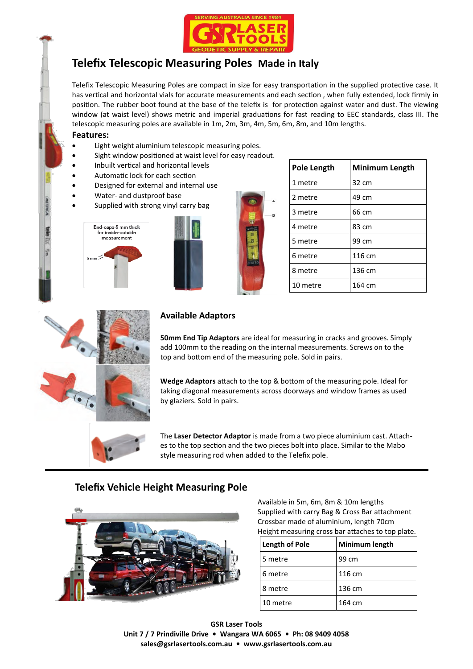

# **Telefix Telescopic Measuring Poles Made in Italy**

Telefix Telescopic Measuring Poles are compact in size for easy transportation in the supplied protective case. It has vertical and horizontal vials for accurate measurements and each section , when fully extended, lock firmly in position. The rubber boot found at the base of the telefix is for protection against water and dust. The viewing window (at waist level) shows metric and imperial graduations for fast reading to EEC standards, class III. The telescopic measuring poles are available in 1m, 2m, 3m, 4m, 5m, 6m, 8m, and 10m lengths.

#### **Features:**

- Light weight aluminium telescopic measuring poles.
- Sight window positioned at waist level for easy readout.
- Inbuilt vertical and horizontal levels
- Automatic lock for each section
- Designed for external and internal use
- Water- and dustproof base
- Supplied with strong vinyl carry bag







| <b>Pole Length</b> | <b>Minimum Length</b> |
|--------------------|-----------------------|
| 1 metre            | 32 cm                 |
| 2 metre            | 49 cm                 |
| 3 metre            | 66 cm                 |
| 4 metre            | 83 cm                 |
| 5 metre            | 99 cm                 |
| 6 metre            | 116 cm                |
| 8 metre            | 136 cm                |
| 10 metre           | 164 cm                |



#### **Available Adaptors**

**50mm End Tip Adaptors** are ideal for measuring in cracks and grooves. Simply add 100mm to the reading on the internal measurements. Screws on to the top and bottom end of the measuring pole. Sold in pairs.

**Wedge Adaptors** attach to the top & bottom of the measuring pole. Ideal for taking diagonal measurements across doorways and window frames as used by glaziers. Sold in pairs.

The **Laser Detector Adaptor** is made from a two piece aluminium cast. Attaches to the top section and the two pieces bolt into place. Similar to the Mabo style measuring rod when added to the Telefix pole.

### **Telefix Vehicle Height Measuring Pole**



Available in 5m, 6m, 8m & 10m lengths Supplied with carry Bag & Cross Bar attachment Crossbar made of aluminium, length 70cm Height measuring cross bar attaches to top plate.

| <b>Length of Pole</b> | Minimum length |
|-----------------------|----------------|
| 5 metre               | 99 cm          |
| 6 metre               | 116 cm         |
| 8 metre               | 136 cm         |
| 10 metre              | 164 cm         |

**GSR Laser Tools Unit 7 / 7 Prindiville Drive • Wangara WA 6065 • Ph: 08 9409 4058 sales@gsrlasertools.com.au • www.gsrlasertools.com.au**